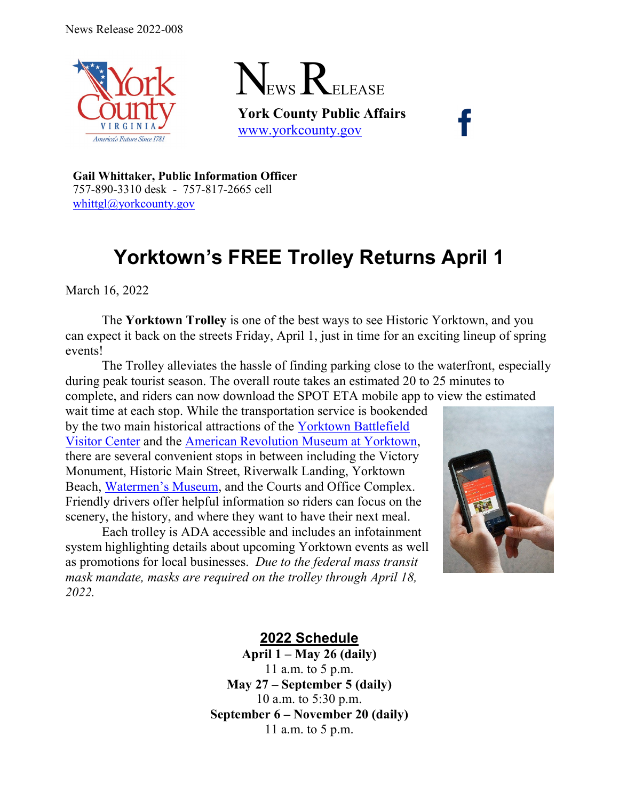



**York County Public Affairs** [www.yorkcounty.gov](http://www.yorkcounty.gov/)

**Gail Whittaker, Public Information Officer** 757-890-3310 desk - 757-817-2665 cell [whittgl@yorkcounty.gov](mailto:whittgl@yorkcounty.gov)

## **Yorktown's FREE Trolley Returns April 1**

March 16, 2022

The **Yorktown Trolley** is one of the best ways to see Historic Yorktown, and you can expect it back on the streets Friday, April 1, just in time for an exciting lineup of spring events!

The Trolley alleviates the hassle of finding parking close to the waterfront, especially during peak tourist season. The overall route takes an estimated 20 to 25 minutes to complete, and riders can now download the SPOT ETA mobile app to view the estimated

wait time at each stop. While the transportation service is bookended by the two main historical attractions of the [Yorktown Battlefield](https://www.nps.gov/york/planyourvisit/hours.htm)  [Visitor Center](https://www.nps.gov/york/planyourvisit/hours.htm) and the [American Revolution Museum at Yorktown,](https://www.historyisfun.org/yorktown-victory-center/) there are several convenient stops in between including the Victory Monument, Historic Main Street, Riverwalk Landing, Yorktown Beach, [Watermen's Museum,](https://watermens.org/) and the Courts and Office Complex. Friendly drivers offer helpful information so riders can focus on the scenery, the history, and where they want to have their next meal.

Each trolley is ADA accessible and includes an infotainment system highlighting details about upcoming Yorktown events as well as promotions for local businesses. *Due to the federal mass transit mask mandate, masks are required on the trolley through April 18, 2022.*



**2022 Schedule**

**April 1 – May 26 (daily)** 11 a.m. to 5 p.m. **May 27 – September 5 (daily)** 10 a.m. to 5:30 p.m. **September 6 – November 20 (daily)** 11 a.m. to 5 p.m.